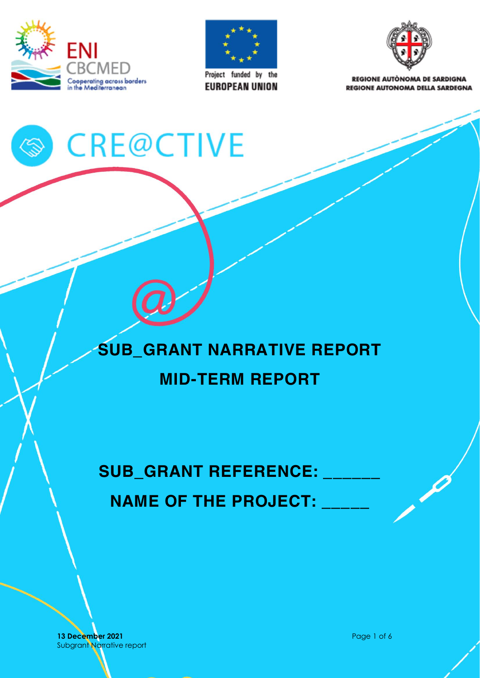



**EUROPEAN UNION** 



**REGIONE AUTÒNOMA DE SARDIGNA REGIONE AUTONOMA DELLA SARDEGNA** 

# S CRE@CTIVE

## **SUB\_GRANT NARRATIVE REPORT MID-TERM REPORT**

SUB\_GRANT REFERENCE: **NAME OF THE PROJECT:** 

**13 December 2021 Page 1 of 6** Subgrant Narrative report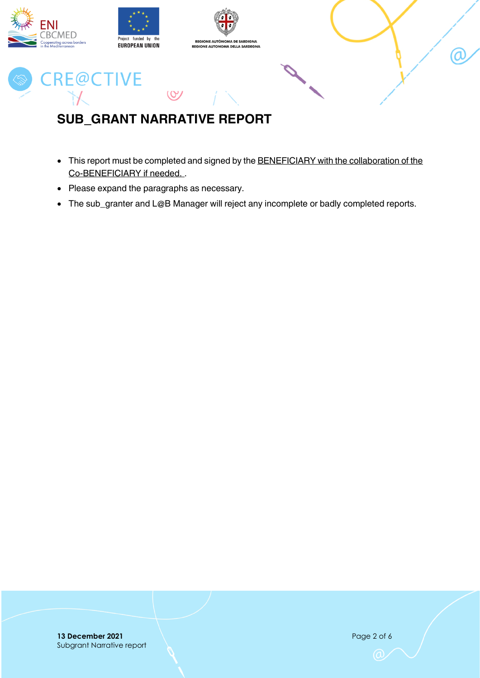

## <span id="page-1-0"></span>**SUB\_GRANT NARRATIVE REPORT**

- This report must be completed and signed by the BENEFICIARY with the collaboration of the Co-BENEFICIARY if needed. .
- Please expand the paragraphs as necessary.
- The sub\_granter and L@B Manager will reject any incomplete or badly completed reports.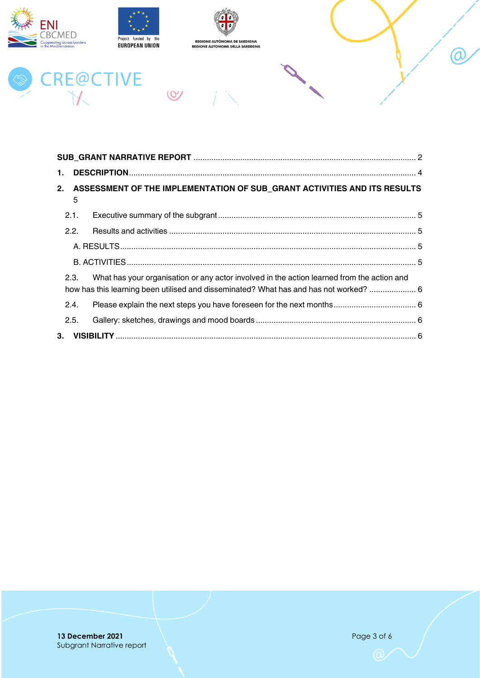



 $(8)$ 



## CRE@CTIVE

| 1.      |                                                                                                                                                                                     |  |  |  |  |  |  |  |  |
|---------|-------------------------------------------------------------------------------------------------------------------------------------------------------------------------------------|--|--|--|--|--|--|--|--|
| 2.      | ASSESSMENT OF THE IMPLEMENTATION OF SUB_GRANT ACTIVITIES AND ITS RESULTS<br>5                                                                                                       |  |  |  |  |  |  |  |  |
| 2.1.    |                                                                                                                                                                                     |  |  |  |  |  |  |  |  |
| 2.2.    |                                                                                                                                                                                     |  |  |  |  |  |  |  |  |
|         |                                                                                                                                                                                     |  |  |  |  |  |  |  |  |
|         |                                                                                                                                                                                     |  |  |  |  |  |  |  |  |
| 2.3.    | What has your organisation or any actor involved in the action learned from the action and<br>how has this learning been utilised and disseminated? What has and has not worked?  6 |  |  |  |  |  |  |  |  |
| 2.4.    |                                                                                                                                                                                     |  |  |  |  |  |  |  |  |
| 2.5.    |                                                                                                                                                                                     |  |  |  |  |  |  |  |  |
| $3_{-}$ |                                                                                                                                                                                     |  |  |  |  |  |  |  |  |

@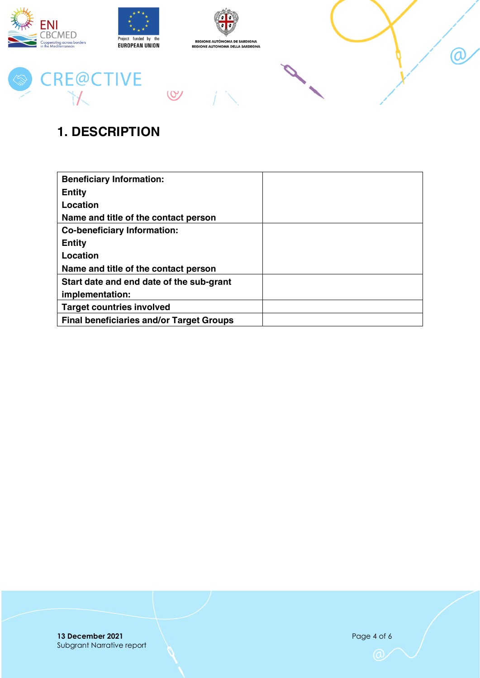

## <span id="page-3-0"></span>**1. DESCRIPTION**

| <b>Beneficiary Information:</b>                 |  |
|-------------------------------------------------|--|
| <b>Entity</b>                                   |  |
| Location                                        |  |
| Name and title of the contact person            |  |
| <b>Co-beneficiary Information:</b>              |  |
| <b>Entity</b>                                   |  |
| Location                                        |  |
| Name and title of the contact person            |  |
| Start date and end date of the sub-grant        |  |
| implementation:                                 |  |
| <b>Target countries involved</b>                |  |
| <b>Final beneficiaries and/or Target Groups</b> |  |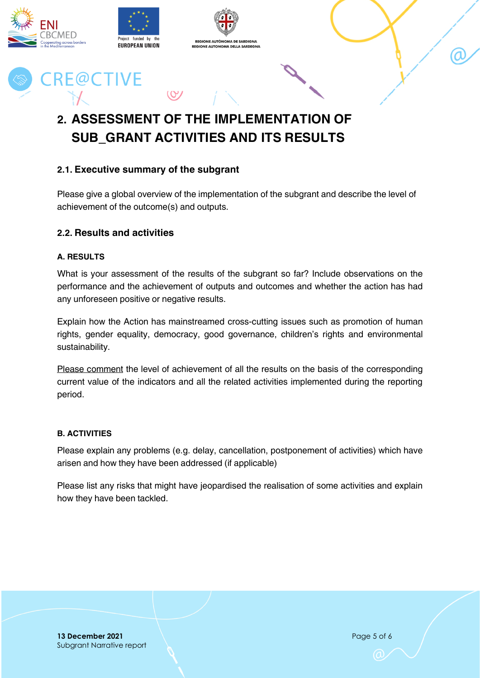

## <span id="page-4-0"></span>**2. ASSESSMENT OF THE IMPLEMENTATION OF SUB\_GRANT ACTIVITIES AND ITS RESULTS**

#### <span id="page-4-1"></span>**2.1. Executive summary of the subgrant**

Please give a global overview of the implementation of the subgrant and describe the level of achievement of the outcome(s) and outputs.

#### <span id="page-4-2"></span>**2.2. Results and activities**

#### <span id="page-4-3"></span>**A. RESULTS**

What is your assessment of the results of the subgrant so far? Include observations on the performance and the achievement of outputs and outcomes and whether the action has had any unforeseen positive or negative results.

Explain how the Action has mainstreamed cross-cutting issues such as promotion of human rights, gender equality, democracy, good governance, children's rights and environmental sustainability.

Please comment the level of achievement of all the results on the basis of the corresponding current value of the indicators and all the related activities implemented during the reporting period.

#### <span id="page-4-4"></span>**B. ACTIVITIES**

Please explain any problems (e.g. delay, cancellation, postponement of activities) which have arisen and how they have been addressed (if applicable)

Please list any risks that might have jeopardised the realisation of some activities and explain how they have been tackled.

**13 December 2021 Page 5 of 6** Subgrant Narrative report